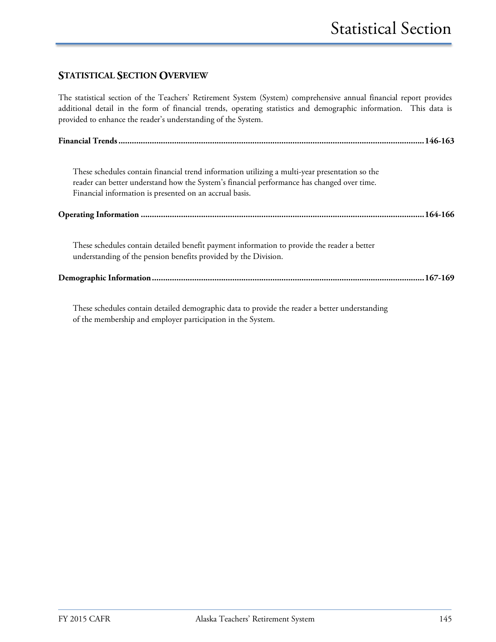#### **STATISTICAL SECTION OVERVIEW**

The statistical section of the Teachers' Retirement System (System) comprehensive annual financial report provides additional detail in the form of financial trends, operating statistics and demographic information. This data is provided to enhance the reader's understanding of the System.

| These schedules contain financial trend information utilizing a multi-year presentation so the<br>reader can better understand how the System's financial performance has changed over time.<br>Financial information is presented on an accrual basis. |  |
|---------------------------------------------------------------------------------------------------------------------------------------------------------------------------------------------------------------------------------------------------------|--|
|                                                                                                                                                                                                                                                         |  |
| These schedules contain detailed benefit payment information to provide the reader a better<br>understanding of the pension benefits provided by the Division.                                                                                          |  |
|                                                                                                                                                                                                                                                         |  |

These schedules contain detailed demographic data to provide the reader a better understanding of the membership and employer participation in the System.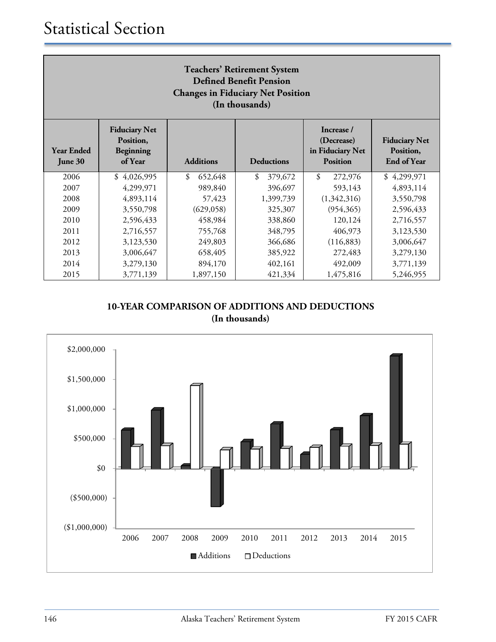| <b>Teachers' Retirement System</b><br><b>Defined Benefit Pension</b><br><b>Changes in Fiduciary Net Position</b><br>(In thousands) |                                                           |                  |                   |                                                                 |                                                         |  |
|------------------------------------------------------------------------------------------------------------------------------------|-----------------------------------------------------------|------------------|-------------------|-----------------------------------------------------------------|---------------------------------------------------------|--|
| <b>Year Ended</b><br>June 30                                                                                                       | <b>Fiduciary Net</b><br>Position,<br>Beginning<br>of Year | <b>Additions</b> | <b>Deductions</b> | Increase /<br>(Decrease)<br>in Fiduciary Net<br><b>Position</b> | <b>Fiduciary Net</b><br>Position,<br><b>End of Year</b> |  |
| 2006                                                                                                                               | \$4,026,995                                               | \$<br>652,648    | \$<br>379,672     | $\boldsymbol{\mathcal{S}}$<br>272,976                           | \$4,299,971                                             |  |
| 2007                                                                                                                               | 4,299,971                                                 | 989,840          | 396,697           | 593,143                                                         | 4,893,114                                               |  |
| 2008                                                                                                                               | 4,893,114                                                 | 57,423           | 1,399,739         | (1,342,316)                                                     | 3,550,798                                               |  |
| 2009                                                                                                                               | 3,550,798                                                 | (629, 058)       | 325,307           | (954, 365)                                                      | 2,596,433                                               |  |
| 2010                                                                                                                               | 2,596,433                                                 | 458,984          | 338,860           | 120,124                                                         | 2,716,557                                               |  |
| 2011                                                                                                                               | 2,716,557                                                 | 755,768          | 348,795           | 406,973                                                         | 3,123,530                                               |  |
| 2012                                                                                                                               | 3,123,530                                                 | 249,803          | 366,686           | (116, 883)                                                      | 3,006,647                                               |  |
| 2013                                                                                                                               | 3,006,647                                                 | 658,405          | 385,922           | 272,483                                                         | 3,279,130                                               |  |
| 2014                                                                                                                               | 3,279,130                                                 | 894,170          | 402,161           | 492,009                                                         | 3,771,139                                               |  |
| 2015                                                                                                                               | 3,771,139                                                 | 1,897,150        | 421,334           | 1,475,816                                                       | 5,246,955                                               |  |

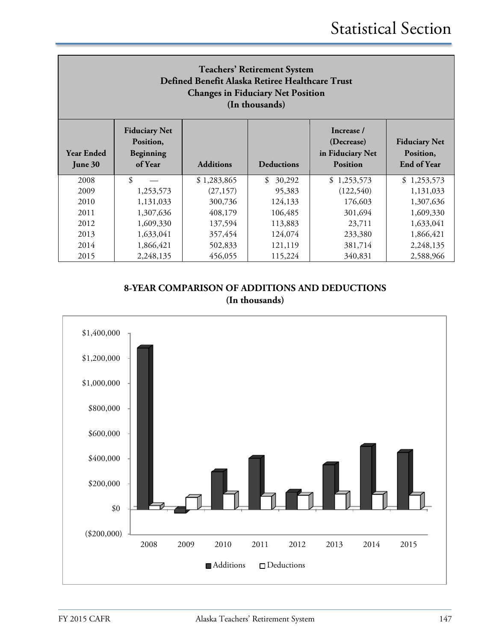| <b>Teachers' Retirement System</b><br>Defined Benefit Alaska Retiree Healthcare Trust<br><b>Changes in Fiduciary Net Position</b><br>(In thousands) |                                                           |                  |                   |                                                                 |                                                  |  |
|-----------------------------------------------------------------------------------------------------------------------------------------------------|-----------------------------------------------------------|------------------|-------------------|-----------------------------------------------------------------|--------------------------------------------------|--|
| <b>Year Ended</b><br>June 30                                                                                                                        | <b>Fiduciary Net</b><br>Position,<br>Beginning<br>of Year | <b>Additions</b> | <b>Deductions</b> | Increase /<br>(Decrease)<br>in Fiduciary Net<br><b>Position</b> | <b>Fiduciary Net</b><br>Position,<br>End of Year |  |
| 2008                                                                                                                                                | \$                                                        | \$1,283,865      | \$<br>30,292      | \$1,253,573                                                     | \$1,253,573                                      |  |
| 2009                                                                                                                                                | 1,253,573                                                 | (27, 157)        | 95,383            | (122, 540)                                                      | 1,131,033                                        |  |
| 2010                                                                                                                                                | 1,131,033                                                 | 300,736          | 124,133           | 176,603                                                         | 1,307,636                                        |  |
| 2011                                                                                                                                                | 1,307,636                                                 | 408,179          | 106,485           | 301,694                                                         | 1,609,330                                        |  |
| 2012                                                                                                                                                | 1,609,330                                                 | 137,594          | 113,883           | 23,711                                                          | 1,633,041                                        |  |
| 2013                                                                                                                                                | 1,633,041                                                 | 357,454          | 124,074           | 233,380                                                         | 1,866,421                                        |  |
| 2014                                                                                                                                                | 1,866,421                                                 | 502,833          | 121,119           | 381,714                                                         | 2,248,135                                        |  |
| 2015                                                                                                                                                | 2,248,135                                                 | 456,055          | 115,224           | 340,831                                                         | 2,588,966                                        |  |

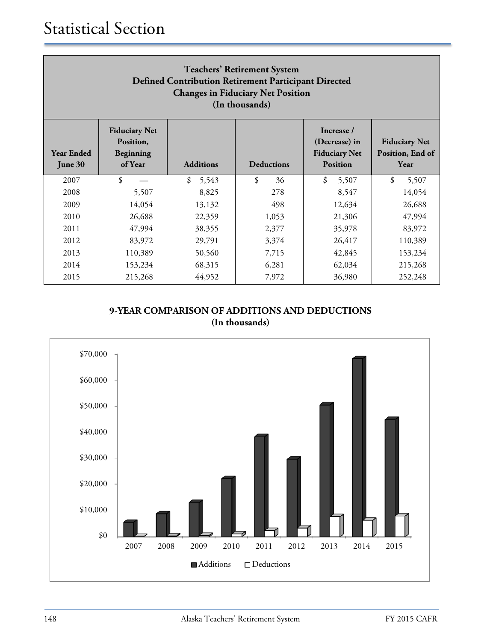| <b>Teachers' Retirement System</b><br>Defined Contribution Retirement Participant Directed<br><b>Changes in Fiduciary Net Position</b><br>(In thousands) |                                                           |                  |                   |                                                                        |                                                  |  |
|----------------------------------------------------------------------------------------------------------------------------------------------------------|-----------------------------------------------------------|------------------|-------------------|------------------------------------------------------------------------|--------------------------------------------------|--|
| <b>Year Ended</b><br>June 30                                                                                                                             | <b>Fiduciary Net</b><br>Position,<br>Beginning<br>of Year | <b>Additions</b> | <b>Deductions</b> | Increase /<br>(Decrease) in<br><b>Fiduciary Net</b><br><b>Position</b> | <b>Fiduciary Net</b><br>Position, End of<br>Year |  |
| 2007                                                                                                                                                     | \$                                                        | \$<br>5,543      | \$<br>36          | \$<br>5,507                                                            | \$<br>5,507                                      |  |
| 2008                                                                                                                                                     | 5,507                                                     | 8,825            | 278               | 8,547                                                                  | 14,054                                           |  |
| 2009                                                                                                                                                     | 14,054                                                    | 13,132           | 498               | 12,634                                                                 | 26,688                                           |  |
| 2010                                                                                                                                                     | 26,688                                                    | 22,359           | 1,053             | 21,306                                                                 | 47,994                                           |  |
| 2011                                                                                                                                                     | 47,994                                                    | 38,355           | 2,377             | 35,978                                                                 | 83,972                                           |  |
| 2012                                                                                                                                                     | 83,972                                                    | 29,791           | 3,374             | 26,417                                                                 | 110,389                                          |  |
| 2013                                                                                                                                                     | 110,389                                                   | 50,560           | 7,715             | 42,845                                                                 | 153,234                                          |  |
| 2014                                                                                                                                                     | 153,234                                                   | 68,315           | 6,281             | 62,034                                                                 | 215,268                                          |  |
| 2015                                                                                                                                                     | 215,268                                                   | 44,952           | 7,972             | 36,980                                                                 | 252,248                                          |  |

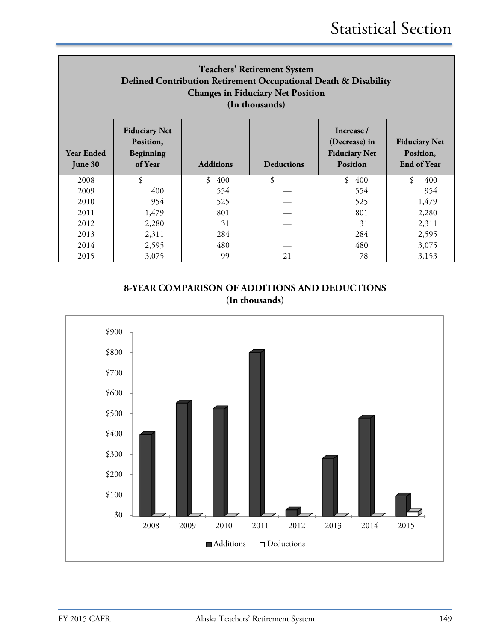| <b>Teachers' Retirement System</b><br>Defined Contribution Retirement Occupational Death & Disability<br><b>Changes in Fiduciary Net Position</b><br>(In thousands) |                                                           |                  |                   |                                                                        |                                                         |  |  |
|---------------------------------------------------------------------------------------------------------------------------------------------------------------------|-----------------------------------------------------------|------------------|-------------------|------------------------------------------------------------------------|---------------------------------------------------------|--|--|
| <b>Year Ended</b><br>June 30                                                                                                                                        | <b>Fiduciary Net</b><br>Position,<br>Beginning<br>of Year | <b>Additions</b> | <b>Deductions</b> | Increase /<br>(Decrease) in<br><b>Fiduciary Net</b><br><b>Position</b> | <b>Fiduciary Net</b><br>Position,<br><b>End of Year</b> |  |  |
| 2008                                                                                                                                                                | \$                                                        | \$<br>400        | \$                | \$<br>400                                                              | \$<br>400                                               |  |  |
| 2009                                                                                                                                                                | 400                                                       | 554              |                   | 554                                                                    | 954                                                     |  |  |
| 2010                                                                                                                                                                | 954                                                       | 525              |                   | 525                                                                    | 1,479                                                   |  |  |
| 2011                                                                                                                                                                | 1,479                                                     | 801              |                   | 801                                                                    | 2,280                                                   |  |  |
| 2012                                                                                                                                                                | 2,280                                                     | 31               |                   | 31                                                                     | 2,311                                                   |  |  |
| 2013                                                                                                                                                                | 2,311                                                     | 284              |                   | 284                                                                    | 2,595                                                   |  |  |
| 2014                                                                                                                                                                | 2,595                                                     | 480              |                   | 480                                                                    | 3,075                                                   |  |  |
| 2015                                                                                                                                                                | 3,075                                                     | 99               | 21                | 78                                                                     | 3,153                                                   |  |  |

**8-YEAR COMPARISON OF ADDITIONS AND DEDUCTIONS (In thousands)**

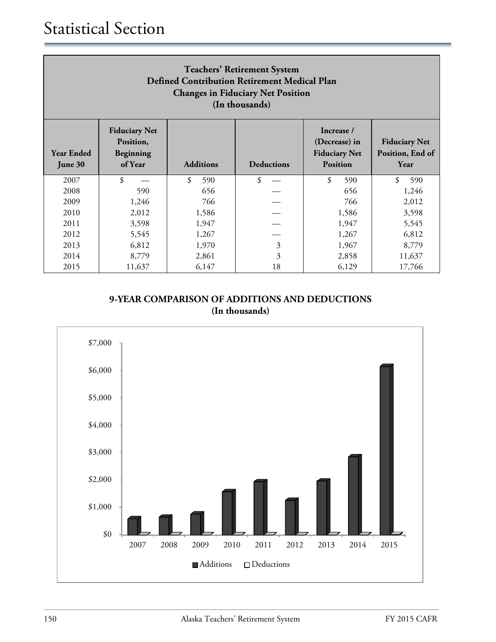| <b>Teachers' Retirement System</b><br><b>Defined Contribution Retirement Medical Plan</b><br><b>Changes in Fiduciary Net Position</b><br>(In thousands) |                                                           |                  |                           |                                                                        |                                                  |  |  |
|---------------------------------------------------------------------------------------------------------------------------------------------------------|-----------------------------------------------------------|------------------|---------------------------|------------------------------------------------------------------------|--------------------------------------------------|--|--|
| <b>Year Ended</b><br>June 30                                                                                                                            | <b>Fiduciary Net</b><br>Position,<br>Beginning<br>of Year | <b>Additions</b> | <b>Deductions</b>         | Increase /<br>(Decrease) in<br><b>Fiduciary Net</b><br><b>Position</b> | <b>Fiduciary Net</b><br>Position, End of<br>Year |  |  |
| 2007                                                                                                                                                    | \$                                                        | \$<br>590        | \$                        | \$<br>590                                                              | \$<br>590                                        |  |  |
| 2008                                                                                                                                                    | 590                                                       | 656              |                           | 656                                                                    | 1,246                                            |  |  |
| 2009                                                                                                                                                    | 1,246                                                     | 766              |                           | 766                                                                    | 2,012                                            |  |  |
| 2010                                                                                                                                                    | 2,012                                                     | 1,586            |                           | 1,586                                                                  | 3,598                                            |  |  |
| 2011                                                                                                                                                    | 3,598                                                     | 1,947            |                           | 1,947                                                                  | 5,545                                            |  |  |
| 2012                                                                                                                                                    | 5,545                                                     | 1,267            |                           | 1,267                                                                  | 6,812                                            |  |  |
| 2013                                                                                                                                                    | 6,812                                                     | 1,970            | $\overline{3}$            | 1,967                                                                  | 8,779                                            |  |  |
| 2014                                                                                                                                                    | 8,779                                                     | 2,861            | $\overline{\mathfrak{Z}}$ | 2,858                                                                  | 11,637                                           |  |  |
| 2015                                                                                                                                                    | 11,637                                                    | 6,147            | 18                        | 6,129                                                                  | 17,766                                           |  |  |

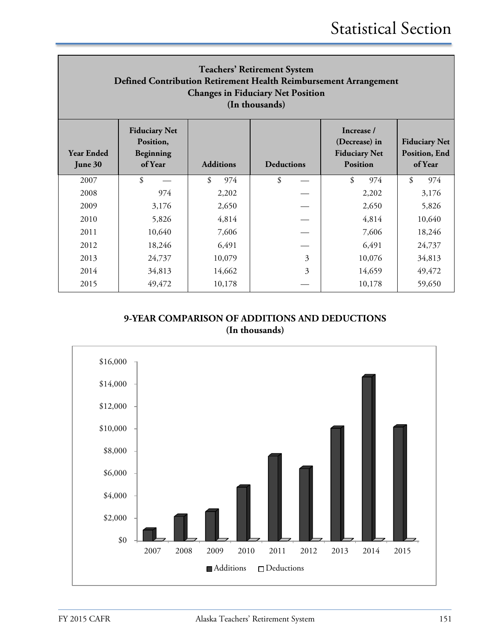| <b>Teachers' Retirement System</b><br>Defined Contribution Retirement Health Reimbursement Arrangement<br><b>Changes in Fiduciary Net Position</b><br>(In thousands) |                                                           |                  |                   |                                                                        |                                                  |  |
|----------------------------------------------------------------------------------------------------------------------------------------------------------------------|-----------------------------------------------------------|------------------|-------------------|------------------------------------------------------------------------|--------------------------------------------------|--|
| <b>Year Ended</b><br>June 30                                                                                                                                         | <b>Fiduciary Net</b><br>Position,<br>Beginning<br>of Year | <b>Additions</b> | <b>Deductions</b> | Increase /<br>(Decrease) in<br><b>Fiduciary Net</b><br><b>Position</b> | <b>Fiduciary Net</b><br>Position, End<br>of Year |  |
| 2007                                                                                                                                                                 | \$                                                        | \$<br>974        | \$                | \$<br>974                                                              | \$<br>974                                        |  |
| 2008                                                                                                                                                                 | 974                                                       | 2,202            |                   | 2,202                                                                  | 3,176                                            |  |
| 2009                                                                                                                                                                 | 3,176                                                     | 2,650            |                   | 2,650                                                                  | 5,826                                            |  |
| 2010                                                                                                                                                                 | 5,826                                                     | 4,814            |                   | 4,814                                                                  | 10,640                                           |  |
| 2011                                                                                                                                                                 | 10,640                                                    | 7,606            |                   | 7,606                                                                  | 18,246                                           |  |
| 2012                                                                                                                                                                 | 18,246                                                    | 6,491            |                   | 6,491                                                                  | 24,737                                           |  |
| 2013                                                                                                                                                                 | 24,737                                                    | 10,079           | 3                 | 10,076                                                                 | 34,813                                           |  |
| 2014                                                                                                                                                                 | 34,813                                                    | 14,662           | 3                 | 14,659                                                                 | 49,472                                           |  |
| 2015                                                                                                                                                                 | 49,472                                                    | 10,178           |                   | 10,178                                                                 | 59,650                                           |  |

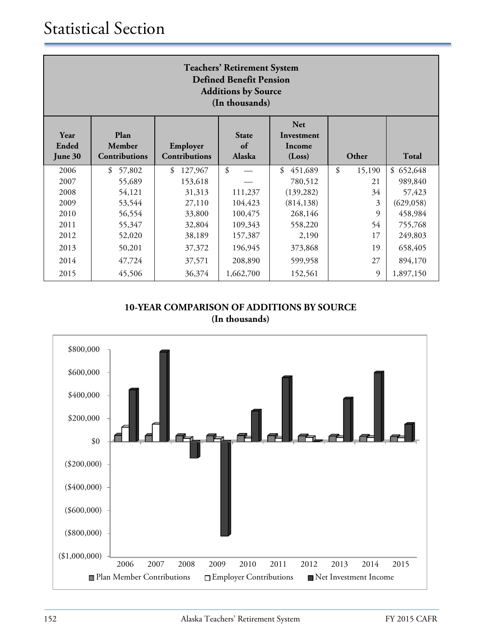| <b>Teachers' Retirement System</b><br><b>Defined Benefit Pension</b><br><b>Additions by Source</b><br>(In thousands) |                                 |                                  |                              |                                              |              |              |  |
|----------------------------------------------------------------------------------------------------------------------|---------------------------------|----------------------------------|------------------------------|----------------------------------------------|--------------|--------------|--|
| Year<br>Ended<br>June 30                                                                                             | Plan<br>Member<br>Contributions | Employer<br><b>Contributions</b> | <b>State</b><br>of<br>Alaska | <b>Net</b><br>Investment<br>Income<br>(Loss) | Other        | <b>Total</b> |  |
| 2006                                                                                                                 | \$<br>57,802                    | \$<br>127,967                    | $\boldsymbol{\mathsf{S}}$    | \$<br>451,689                                | \$<br>15,190 | \$652,648    |  |
| 2007                                                                                                                 | 55,689                          | 153,618                          |                              | 780,512                                      | 21           | 989,840      |  |
| 2008                                                                                                                 | 54,121                          | 31,313                           | 111,237                      | (139, 282)                                   | 34           | 57,423       |  |
| 2009                                                                                                                 | 53,544                          | 27,110                           | 104,423                      | (814, 138)                                   | 3            | (629, 058)   |  |
| 2010                                                                                                                 | 56,554                          | 33,800                           | 100,475                      | 268,146                                      | 9            | 458,984      |  |
| 2011                                                                                                                 | 55,347                          | 32,804                           | 109,343                      | 558,220                                      | 54           | 755,768      |  |
| 2012                                                                                                                 | 52,020                          | 38,189                           | 157,387                      | 2,190                                        | 17           | 249,803      |  |
| 2013                                                                                                                 | 50,201                          | 37,372                           | 196,945                      | 373,868                                      | 19           | 658,405      |  |
| 2014                                                                                                                 | 47,724                          | 37,571                           | 208,890                      | 599,958                                      | 27           | 894,170      |  |
| 2015                                                                                                                 | 45,506                          | 36,374                           | 1,662,700                    | 152,561                                      | 9            | 1,897,150    |  |

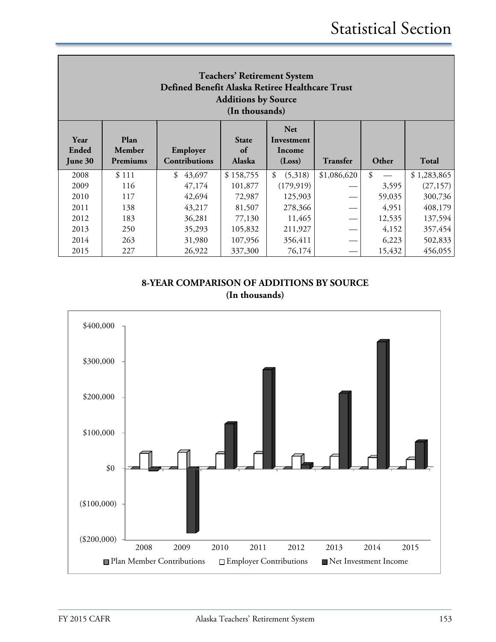| <b>Teachers' Retirement System</b><br>Defined Benefit Alaska Retiree Healthcare Trust<br><b>Additions by Source</b><br>(In thousands) |                            |                                  |                                     |                                              |                 |        |              |
|---------------------------------------------------------------------------------------------------------------------------------------|----------------------------|----------------------------------|-------------------------------------|----------------------------------------------|-----------------|--------|--------------|
| Year<br>Ended<br>June 30                                                                                                              | Plan<br>Member<br>Premiums | Employer<br><b>Contributions</b> | <b>State</b><br>of<br><b>Alaska</b> | <b>Net</b><br>Investment<br>Income<br>(Loss) | <b>Transfer</b> | Other  | <b>Total</b> |
| 2008                                                                                                                                  | \$111                      | \$<br>43,697                     | \$158,755                           | \$<br>(5,318)                                | \$1,086,620     | \$     | \$1,283,865  |
| 2009                                                                                                                                  | 116                        | 47,174                           | 101,877                             | (179, 919)                                   |                 | 3,595  | (27, 157)    |
| 2010                                                                                                                                  | 117                        | 42,694                           | 72,987                              | 125,903                                      |                 | 59,035 | 300,736      |
| 2011                                                                                                                                  | 138                        | 43,217                           | 81,507                              | 278,366                                      |                 | 4,951  | 408,179      |
| 2012                                                                                                                                  | 183                        | 36,281                           | 77,130                              | 11,465                                       |                 | 12,535 | 137,594      |
| 2013                                                                                                                                  | 250                        | 35,293                           | 105,832                             | 211,927                                      |                 | 4,152  | 357,454      |
|                                                                                                                                       |                            |                                  |                                     |                                              |                 |        |              |
| 2014                                                                                                                                  | 263                        | 31,980                           | 107,956                             | 356,411                                      |                 | 6,223  | 502,833      |

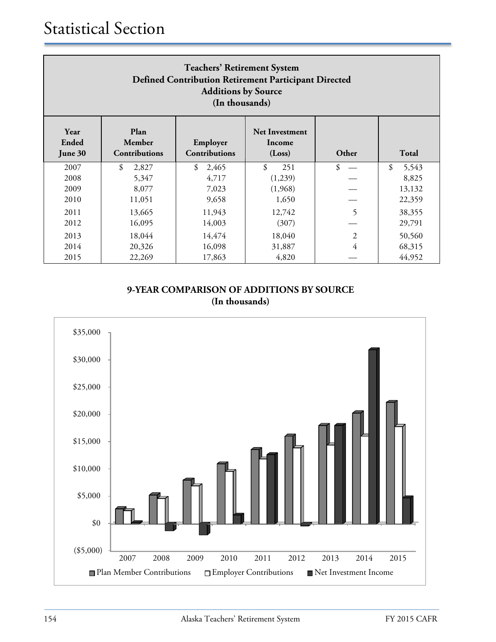| <b>Teachers' Retirement System</b><br>Defined Contribution Retirement Participant Directed<br><b>Additions by Source</b><br>(In thousands)                     |             |             |           |                |             |  |
|----------------------------------------------------------------------------------------------------------------------------------------------------------------|-------------|-------------|-----------|----------------|-------------|--|
| Plan<br>Year<br><b>Net Investment</b><br><b>Ended</b><br>Member<br>Employer<br>Income<br>Contributions<br>Total<br>Contributions<br>Other<br>(Loss)<br>June 30 |             |             |           |                |             |  |
| 2007                                                                                                                                                           | \$<br>2,827 | 2,465<br>\$ | \$<br>251 | \$             | \$<br>5,543 |  |
| 2008                                                                                                                                                           | 5,347       | 4,717       | (1,239)   |                | 8,825       |  |
| 2009                                                                                                                                                           | 8,077       | 7,023       | (1,968)   |                | 13,132      |  |
| 2010                                                                                                                                                           | 11,051      | 9,658       | 1,650     |                | 22,359      |  |
| 2011                                                                                                                                                           | 13,665      | 11,943      | 12,742    | 5              | 38,355      |  |
| 2012                                                                                                                                                           | 16,095      | 14,003      | (307)     |                | 29,791      |  |
| 2013                                                                                                                                                           | 18,044      | 14,474      | 18,040    | $\overline{2}$ | 50,560      |  |
| 2014                                                                                                                                                           | 20,326      | 16,098      | 31,887    | 4              | 68,315      |  |
| 2015                                                                                                                                                           | 22,269      | 17,863      | 4,820     |                | 44,952      |  |

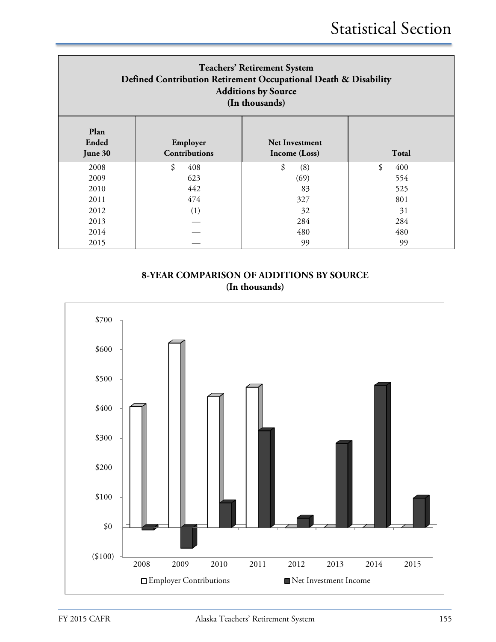| <b>Teachers' Retirement System</b><br>Defined Contribution Retirement Occupational Death & Disability<br><b>Additions by Source</b><br>(In thousands) |                                  |                                        |           |  |  |  |
|-------------------------------------------------------------------------------------------------------------------------------------------------------|----------------------------------|----------------------------------------|-----------|--|--|--|
| Plan<br>Ended<br>June 30                                                                                                                              | Employer<br><b>Contributions</b> | <b>Net Investment</b><br>Income (Loss) | Total     |  |  |  |
| 2008                                                                                                                                                  | \$<br>408                        | \$<br>(8)                              | \$<br>400 |  |  |  |
| 2009                                                                                                                                                  | 623                              | (69)                                   | 554       |  |  |  |
| 2010                                                                                                                                                  | 442                              | 83                                     | 525       |  |  |  |
| 2011                                                                                                                                                  | 474                              | 327                                    | 801       |  |  |  |
| 2012                                                                                                                                                  | (1)                              | 32                                     | 31        |  |  |  |
| 2013                                                                                                                                                  |                                  | 284                                    | 284       |  |  |  |
| 2014                                                                                                                                                  |                                  | 480                                    | 480       |  |  |  |
| 2015                                                                                                                                                  |                                  | 99                                     | 99        |  |  |  |

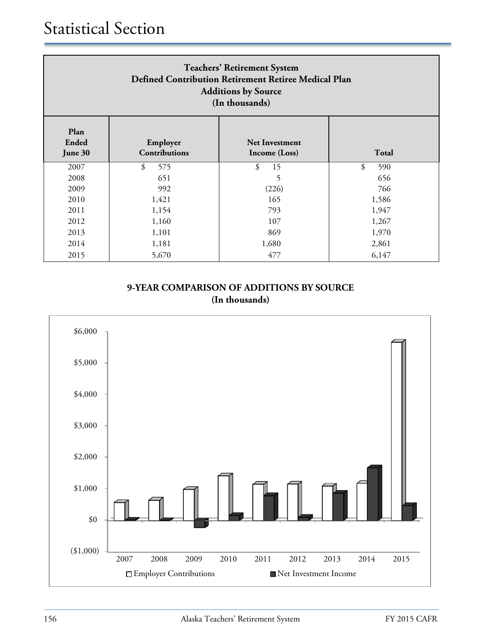| <b>Teachers' Retirement System</b><br>Defined Contribution Retirement Retiree Medical Plan<br><b>Additions by Source</b><br>(In thousands) |                                  |                                        |           |  |  |  |
|--------------------------------------------------------------------------------------------------------------------------------------------|----------------------------------|----------------------------------------|-----------|--|--|--|
| Plan<br>Ended<br>June 30                                                                                                                   | Employer<br><b>Contributions</b> | <b>Net Investment</b><br>Income (Loss) | Total     |  |  |  |
| 2007                                                                                                                                       | \$<br>575                        | \$<br>15                               | \$<br>590 |  |  |  |
| 2008                                                                                                                                       | 651                              | 5                                      | 656       |  |  |  |
| 2009                                                                                                                                       | 992                              | (226)                                  | 766       |  |  |  |
| 2010                                                                                                                                       | 1,421                            | 165                                    | 1,586     |  |  |  |
| 2011                                                                                                                                       | 1,154                            | 793                                    | 1,947     |  |  |  |
| 2012                                                                                                                                       | 1,160                            | 107                                    | 1,267     |  |  |  |
| 2013                                                                                                                                       | 1,101                            | 869                                    | 1,970     |  |  |  |
| 2014                                                                                                                                       | 1,181                            | 1,680                                  | 2,861     |  |  |  |
| 2015                                                                                                                                       | 5,670                            | 477                                    | 6,147     |  |  |  |

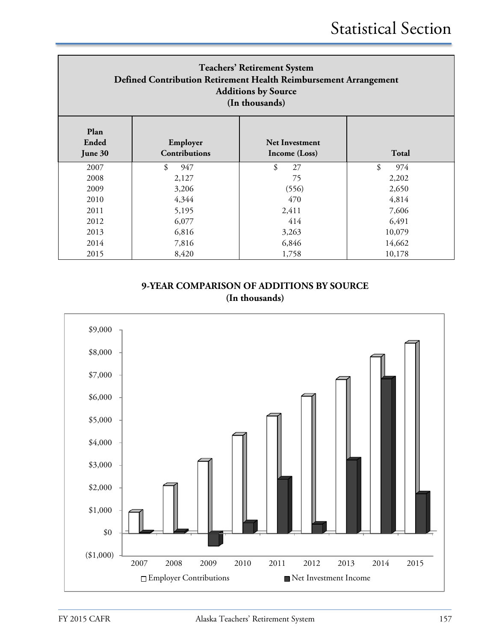| <b>Teachers' Retirement System</b><br>Defined Contribution Retirement Health Reimbursement Arrangement<br><b>Additions by Source</b><br>(In thousands) |                           |                                        |           |  |  |  |
|--------------------------------------------------------------------------------------------------------------------------------------------------------|---------------------------|----------------------------------------|-----------|--|--|--|
| Plan<br>Ended<br>June 30                                                                                                                               | Employer<br>Contributions | <b>Net Investment</b><br>Income (Loss) | Total     |  |  |  |
| 2007                                                                                                                                                   | \$<br>947                 | \$<br>27                               | \$<br>974 |  |  |  |
| 2008                                                                                                                                                   | 2,127                     | 75                                     | 2,202     |  |  |  |
| 2009                                                                                                                                                   | 3,206                     | (556)                                  | 2,650     |  |  |  |
| 2010                                                                                                                                                   | 4,344                     | 470                                    | 4,814     |  |  |  |
| 2011                                                                                                                                                   | 5,195                     | 2,411                                  | 7,606     |  |  |  |
| 2012                                                                                                                                                   | 6,077                     | 414                                    | 6,491     |  |  |  |
| 2013                                                                                                                                                   | 6,816                     | 3,263                                  | 10,079    |  |  |  |
| 2014                                                                                                                                                   | 7,816                     | 6,846                                  | 14,662    |  |  |  |
| 2015                                                                                                                                                   | 8,420                     | 1,758                                  | 10,178    |  |  |  |

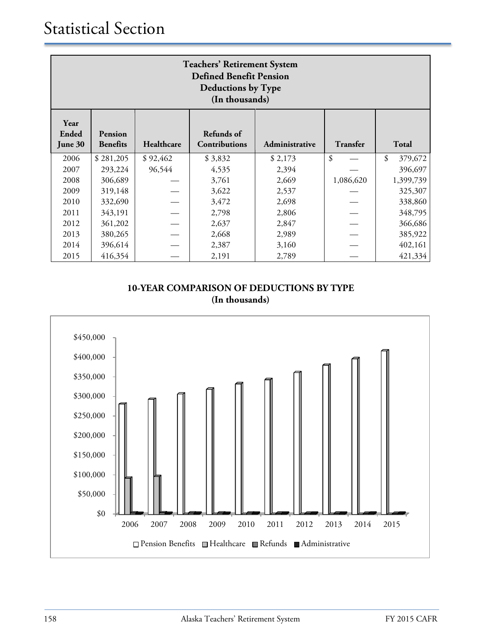| <b>Teachers' Retirement System</b><br><b>Defined Benefit Pension</b><br><b>Deductions by Type</b><br>(In thousands) |                                                                                                                |          |         |         |           |               |  |
|---------------------------------------------------------------------------------------------------------------------|----------------------------------------------------------------------------------------------------------------|----------|---------|---------|-----------|---------------|--|
| Year<br><b>Ended</b><br>June 30                                                                                     | Refunds of<br>Pension<br>Healthcare<br>Contributions<br>Administrative<br>Transfer<br>Total<br><b>Benefits</b> |          |         |         |           |               |  |
| 2006                                                                                                                | \$281,205                                                                                                      | \$92,462 | \$3,832 | \$2,173 | \$        | \$<br>379,672 |  |
| 2007                                                                                                                | 293,224                                                                                                        | 96,544   | 4,535   | 2,394   |           | 396,697       |  |
| 2008                                                                                                                | 306,689                                                                                                        |          | 3,761   | 2,669   | 1,086,620 | 1,399,739     |  |
| 2009                                                                                                                | 319,148                                                                                                        |          | 3,622   | 2,537   |           | 325,307       |  |
| 2010                                                                                                                | 332,690                                                                                                        |          | 3,472   | 2,698   |           | 338,860       |  |
| 2011                                                                                                                | 343,191                                                                                                        |          | 2,798   | 2,806   |           | 348,795       |  |
| 2012                                                                                                                | 361,202                                                                                                        |          | 2,637   | 2,847   |           | 366,686       |  |
| 2013                                                                                                                | 380,265                                                                                                        |          | 2,668   | 2,989   |           | 385,922       |  |
| 2014                                                                                                                | 396,614                                                                                                        |          | 2,387   | 3,160   |           | 402,161       |  |
| 2015                                                                                                                | 416,354                                                                                                        |          | 2,191   | 2,789   |           | 421,334       |  |

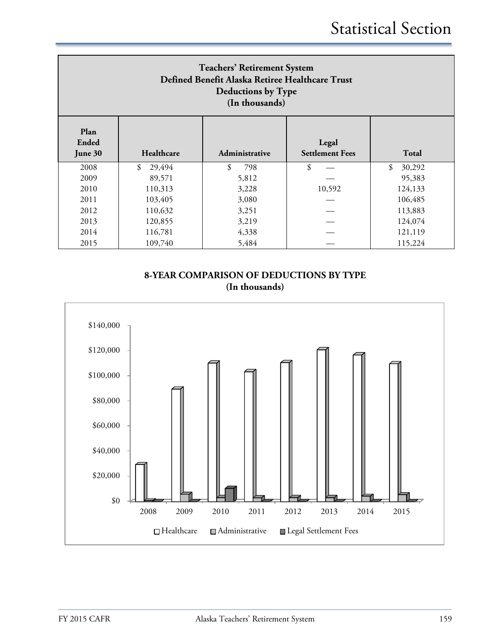| <b>Teachers' Retirement System</b><br>Defined Benefit Alaska Retiree Healthcare Trust<br>Deductions by Type<br>(In thousands) |                             |                |                                 |              |  |  |
|-------------------------------------------------------------------------------------------------------------------------------|-----------------------------|----------------|---------------------------------|--------------|--|--|
| Plan<br><b>Ended</b><br>June 30                                                                                               | Healthcare                  | Administrative | Legal<br><b>Settlement Fees</b> | Total        |  |  |
| 2008                                                                                                                          | \$<br>29,494                | \$<br>798      | \$                              | \$<br>30,292 |  |  |
| 2009                                                                                                                          | 89,571                      | 5,812          |                                 | 95,383       |  |  |
| 2010                                                                                                                          | 110,313                     | 3,228          | 10,592                          | 124,133      |  |  |
| 2011                                                                                                                          | 103,405                     | 3,080          |                                 | 106,485      |  |  |
| 2012                                                                                                                          | 110,632                     | 3,251          |                                 | 113,883      |  |  |
| 2013                                                                                                                          | 124,074<br>120,855<br>3,219 |                |                                 |              |  |  |
| 2014                                                                                                                          | 116,781                     | 4,338          |                                 | 121,119      |  |  |
| 2015                                                                                                                          | 109,740                     | 5,484          |                                 | 115,224      |  |  |

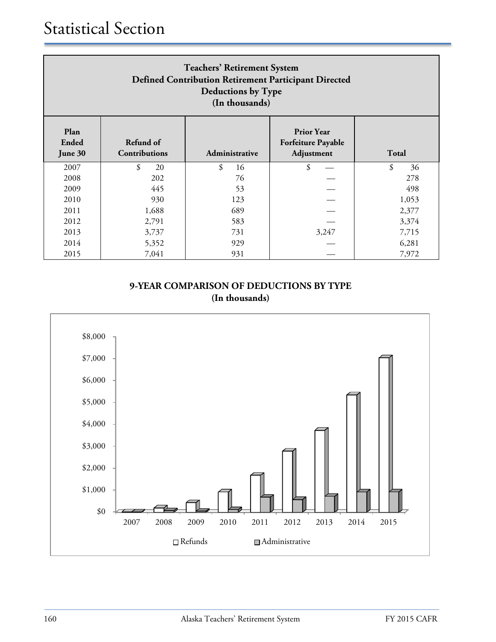| <b>Teachers' Retirement System</b><br><b>Defined Contribution Retirement Participant Directed</b><br>Deductions by Type<br>(In thousands) |                                   |                |                                                              |              |  |  |
|-------------------------------------------------------------------------------------------------------------------------------------------|-----------------------------------|----------------|--------------------------------------------------------------|--------------|--|--|
| Plan<br>Ended<br>June 30                                                                                                                  | Refund of<br><b>Contributions</b> | Administrative | <b>Prior Year</b><br><b>Forfeiture Payable</b><br>Adjustment | <b>Total</b> |  |  |
| 2007                                                                                                                                      | \$<br>20                          | \$<br>16       | \$                                                           | \$<br>36     |  |  |
| 2008                                                                                                                                      | 202                               | 76             |                                                              | 278          |  |  |
| 2009                                                                                                                                      | 445                               | 53             |                                                              | 498          |  |  |
| 2010                                                                                                                                      | 930                               | 123            |                                                              | 1,053        |  |  |
| 2011                                                                                                                                      | 1,688                             | 689            |                                                              | 2,377        |  |  |
| 2012                                                                                                                                      | 2,791                             | 583            |                                                              | 3,374        |  |  |
| 2013                                                                                                                                      | 3,737                             | 731            | 3,247                                                        | 7,715        |  |  |
| 2014                                                                                                                                      | 5,352                             | 929            |                                                              | 6,281        |  |  |
| 2015                                                                                                                                      | 7,041                             | 931            |                                                              | 7,972        |  |  |

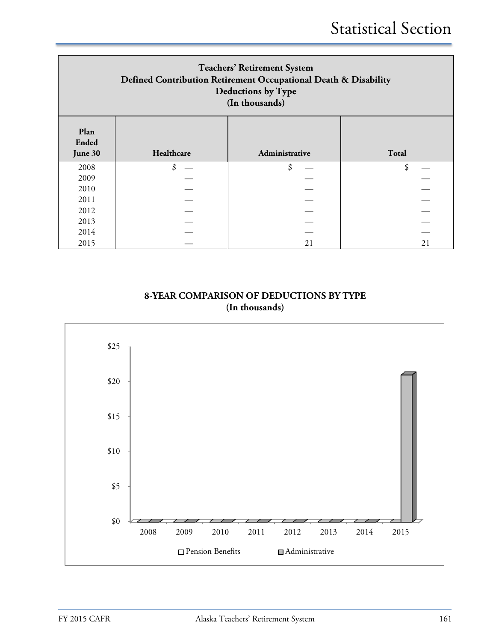| <b>Teachers' Retirement System</b><br>Defined Contribution Retirement Occupational Death & Disability<br><b>Deductions by Type</b><br>(In thousands) |            |                |       |  |  |  |  |
|------------------------------------------------------------------------------------------------------------------------------------------------------|------------|----------------|-------|--|--|--|--|
| Plan<br><b>Ended</b><br>June 30                                                                                                                      | Healthcare | Administrative | Total |  |  |  |  |
| 2008                                                                                                                                                 | \$         | \$             | \$    |  |  |  |  |
| 2009                                                                                                                                                 |            |                |       |  |  |  |  |
| 2010                                                                                                                                                 |            |                |       |  |  |  |  |
| 2011                                                                                                                                                 |            |                |       |  |  |  |  |
| 2012                                                                                                                                                 |            |                |       |  |  |  |  |
| 2013                                                                                                                                                 |            |                |       |  |  |  |  |
| 2014                                                                                                                                                 |            |                |       |  |  |  |  |
| 2015                                                                                                                                                 |            | 21             | 21    |  |  |  |  |

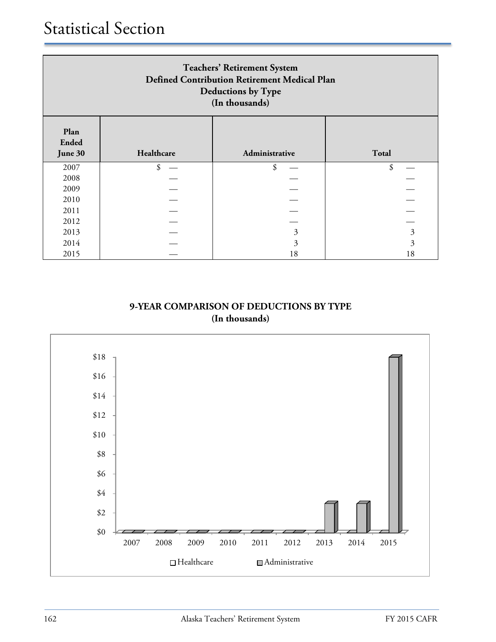| <b>Teachers' Retirement System</b><br>Defined Contribution Retirement Medical Plan<br>Deductions by Type<br>(In thousands) |            |                |       |  |  |  |
|----------------------------------------------------------------------------------------------------------------------------|------------|----------------|-------|--|--|--|
| Plan<br><b>Ended</b><br>June 30                                                                                            | Healthcare | Administrative | Total |  |  |  |
| 2007                                                                                                                       | \$         | \$             | \$    |  |  |  |
| 2008                                                                                                                       |            |                |       |  |  |  |
| 2009                                                                                                                       |            |                |       |  |  |  |
| 2010                                                                                                                       |            |                |       |  |  |  |
| 2011                                                                                                                       |            |                |       |  |  |  |
| 2012                                                                                                                       |            |                |       |  |  |  |
| 2013                                                                                                                       | 3<br>3     |                |       |  |  |  |
| 2014                                                                                                                       |            | 3              | 3     |  |  |  |
| 2015                                                                                                                       |            | 18             | 18    |  |  |  |

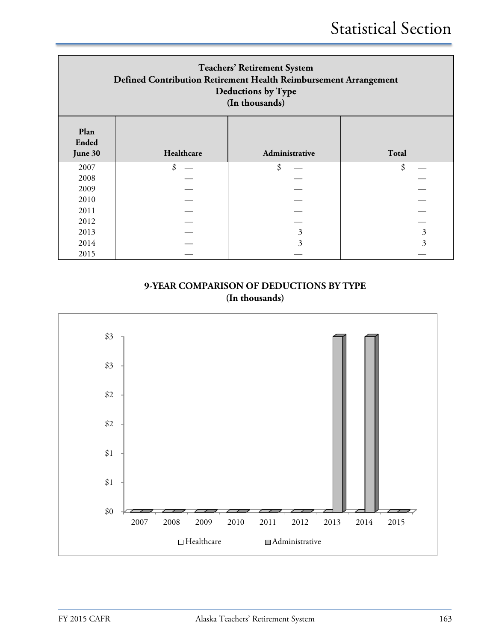| <b>Teachers' Retirement System</b><br>Defined Contribution Retirement Health Reimbursement Arrangement<br>Deductions by Type<br>(In thousands) |            |                |       |  |  |  |
|------------------------------------------------------------------------------------------------------------------------------------------------|------------|----------------|-------|--|--|--|
| Plan<br><b>Ended</b><br>June 30                                                                                                                | Healthcare | Administrative | Total |  |  |  |
| 2007                                                                                                                                           | \$         | \$             | \$    |  |  |  |
| 2008                                                                                                                                           |            |                |       |  |  |  |
| 2009                                                                                                                                           |            |                |       |  |  |  |
| 2010                                                                                                                                           |            |                |       |  |  |  |
| 2011                                                                                                                                           |            |                |       |  |  |  |
| 2012                                                                                                                                           |            |                |       |  |  |  |
| 2013                                                                                                                                           |            | 3              | 3     |  |  |  |
| 2014                                                                                                                                           |            | 3              | 3     |  |  |  |
| 2015                                                                                                                                           |            |                |       |  |  |  |

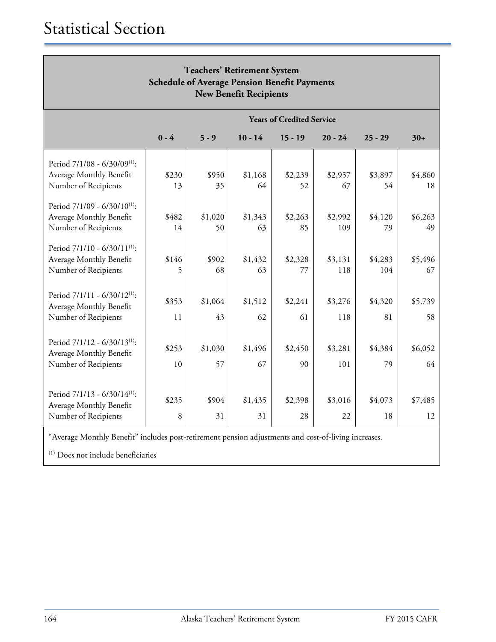| <b>Teachers' Retirement System</b><br><b>Schedule of Average Pension Benefit Payments</b><br><b>New Benefit Recipients</b> |         |         |           |                                  |           |           |         |
|----------------------------------------------------------------------------------------------------------------------------|---------|---------|-----------|----------------------------------|-----------|-----------|---------|
|                                                                                                                            |         |         |           | <b>Years of Credited Service</b> |           |           |         |
|                                                                                                                            | $0 - 4$ | $5 - 9$ | $10 - 14$ | $15 - 19$                        | $20 - 24$ | $25 - 29$ | $30+$   |
| Period 7/1/08 - 6/30/09 <sup>(1)</sup> :                                                                                   |         |         |           |                                  |           |           |         |
| Average Monthly Benefit                                                                                                    | \$230   | \$950   | \$1,168   | \$2,239                          | \$2,957   | \$3,897   | \$4,860 |
| Number of Recipients                                                                                                       | 13      | 35      | 64        | 52                               | 67        | 54        | 18      |
| Period 7/1/09 - 6/30/10 <sup>(1)</sup> :                                                                                   |         |         |           |                                  |           |           |         |
| Average Monthly Benefit                                                                                                    | \$482   | \$1,020 | \$1,343   | \$2,263                          | \$2,992   | \$4,120   | \$6,263 |
| Number of Recipients                                                                                                       | 14      | 50      | 63        | 85                               | 109       | 79        | 49      |
| Period $7/1/10 - 6/30/11^{(1)}$ .<br>Average Monthly Benefit                                                               | \$146   | \$902   | \$1,432   | \$2,328                          | \$3,131   | \$4,283   | \$5,496 |
| Number of Recipients                                                                                                       | 5       | 68      | 63        | 77                               | 118       | 104       | 67      |
| Period $7/1/11 - 6/30/12^{(1)}$ :<br>Average Monthly Benefit                                                               | \$353   | \$1,064 | \$1,512   | \$2,241                          | \$3,276   | \$4,320   | \$5,739 |
| Number of Recipients                                                                                                       | 11      | 43      | 62        | 61                               | 118       | 81        | 58      |
| Period 7/1/12 - 6/30/13 <sup>(1)</sup> :                                                                                   | \$253   | \$1,030 | \$1,496   | \$2,450                          | \$3,281   | \$4,384   | \$6,052 |
| Average Monthly Benefit                                                                                                    |         |         |           |                                  |           |           |         |
| Number of Recipients                                                                                                       | 10      | 57      | 67        | 90                               | 101       | 79        | 64      |
| Period $7/1/13 - 6/30/14$ <sup>(1)</sup> :                                                                                 |         |         |           |                                  |           |           |         |
| Average Monthly Benefit                                                                                                    | \$235   | \$904   | \$1,435   | \$2,398                          | \$3,016   | \$4,073   | \$7,485 |
| Number of Recipients                                                                                                       | 8       | 31      | 31        | 28                               | 22        | 18        | 12      |

"Average Monthly Benefit" includes post-retirement pension adjustments and cost-of-living increases.

(1) Does not include beneficiaries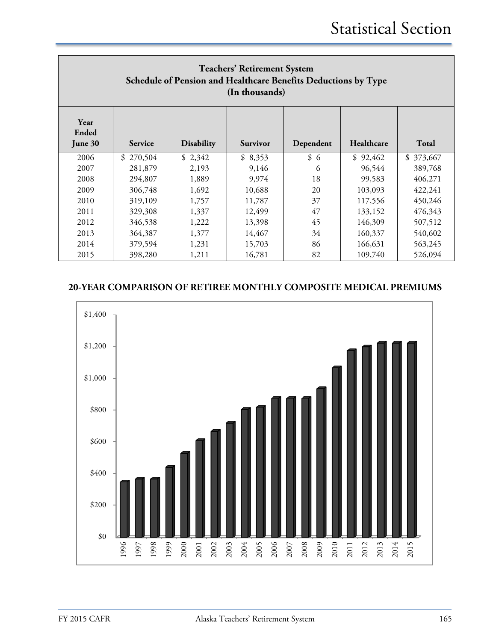| <b>Teachers' Retirement System</b><br>Schedule of Pension and Healthcare Benefits Deductions by Type<br>(In thousands) |                                                                                            |         |         |     |          |           |  |  |
|------------------------------------------------------------------------------------------------------------------------|--------------------------------------------------------------------------------------------|---------|---------|-----|----------|-----------|--|--|
| Year<br>Ended<br>June 30                                                                                               | Healthcare<br>Dependent<br>Total<br><b>Disability</b><br><b>Service</b><br><b>Survivor</b> |         |         |     |          |           |  |  |
| 2006                                                                                                                   | \$270,504                                                                                  | \$2,342 | \$8,353 | \$6 | \$92,462 | \$373,667 |  |  |
| 2007                                                                                                                   | 281,879                                                                                    | 2.193   | 9,146   | 6   | 96,544   | 389,768   |  |  |
| 2008                                                                                                                   | 294,807                                                                                    | 1,889   | 9,974   | 18  | 99,583   | 406,271   |  |  |
| 2009                                                                                                                   | 306,748                                                                                    | 1,692   | 10,688  | 20  | 103,093  | 422,241   |  |  |
| 2010                                                                                                                   | 319,109                                                                                    | 1,757   | 11,787  | 37  | 117,556  | 450,246   |  |  |
| 2011                                                                                                                   | 329,308                                                                                    | 1,337   | 12,499  | 47  | 133,152  | 476,343   |  |  |
| 2012                                                                                                                   | 346,538                                                                                    | 1,222   | 13,398  | 45  | 146,309  | 507,512   |  |  |
| 2013                                                                                                                   | 364,387                                                                                    | 1,377   | 14,467  | 34  | 160,337  | 540,602   |  |  |
| 2014                                                                                                                   | 379,594                                                                                    | 1,231   | 15,703  | 86  | 166,631  | 563,245   |  |  |
| 2015                                                                                                                   | 398,280                                                                                    | 1,211   | 16,781  | 82  | 109,740  | 526,094   |  |  |

## **20-YEAR COMPARISON OF RETIREE MONTHLY COMPOSITE MEDICAL PREMIUMS**

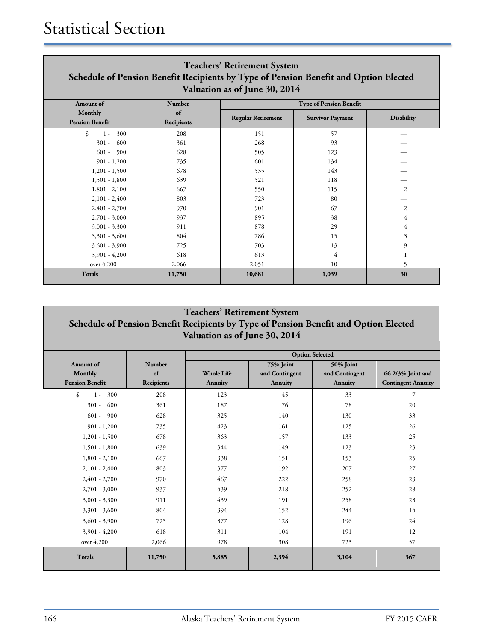| <b>Teachers' Retirement System</b><br>Schedule of Pension Benefit Recipients by Type of Pension Benefit and Option Elected<br>Valuation as of June 30, 2014 |                  |                           |                                |                   |  |  |
|-------------------------------------------------------------------------------------------------------------------------------------------------------------|------------------|---------------------------|--------------------------------|-------------------|--|--|
| <b>Amount</b> of                                                                                                                                            | Number           |                           | <b>Type of Pension Benefit</b> |                   |  |  |
| Monthly<br><b>Pension Benefit</b>                                                                                                                           | of<br>Recipients | <b>Regular Retirement</b> | <b>Survivor Payment</b>        | <b>Disability</b> |  |  |
| \$<br>300<br>$1 -$                                                                                                                                          | 208              | 151                       | 57                             |                   |  |  |
| 600<br>$301 -$                                                                                                                                              | 361              | 268                       | 93                             |                   |  |  |
| $601 -$<br>900                                                                                                                                              | 628              | 505                       | 123                            |                   |  |  |
| $901 - 1,200$                                                                                                                                               | 735              | 601                       | 134                            |                   |  |  |
| $1,201 - 1,500$                                                                                                                                             | 678              | 535                       | 143                            |                   |  |  |
| $1,501 - 1,800$                                                                                                                                             | 639              | 521                       | 118                            |                   |  |  |
| $1,801 - 2,100$                                                                                                                                             | 667              | 550                       | 115                            | 2                 |  |  |
| $2,101 - 2,400$                                                                                                                                             | 803              | 723                       | 80                             |                   |  |  |
| $2,401 - 2,700$                                                                                                                                             | 970              | 901                       | 67                             | 2                 |  |  |
| $2,701 - 3,000$                                                                                                                                             | 937              | 895                       | 38                             | 4                 |  |  |
| $3,001 - 3,300$                                                                                                                                             | 911              | 878                       | 29                             | 4                 |  |  |
| $3,301 - 3,600$                                                                                                                                             | 804              | 786                       | 15                             | 3                 |  |  |
| $3,601 - 3,900$                                                                                                                                             | 725              | 703                       | 13                             | 9                 |  |  |
| $3,901 - 4,200$                                                                                                                                             | 618              | 613                       | 4                              |                   |  |  |
| over 4,200                                                                                                                                                  | 2,066            | 2,051                     | 10                             |                   |  |  |
| <b>Totals</b>                                                                                                                                               | 11,750           | 10,681                    | 1,039                          | 30                |  |  |

## **Teachers' Retirement System Schedule of Pension Benefit Recipients by Type of Pension Benefit and Option Elected Valuation as of June 30, 2014**

|                               |            | <b>Option Selected</b> |                |                |                           |
|-------------------------------|------------|------------------------|----------------|----------------|---------------------------|
| <b>Amount</b> of              | Number     |                        | 75% Joint      | 50% Joint      |                           |
| Monthly                       | of         | <b>Whole Life</b>      | and Contingent | and Contingent | 66 2/3% Joint and         |
| <b>Pension Benefit</b>        | Recipients | Annuity                | Annuity        | Annuity        | <b>Contingent Annuity</b> |
| $\mathcal{S}$<br>300<br>$1 -$ | 208        | 123                    | 45             | 33             | 7                         |
| $301 -$<br>600                | 361        | 187                    | 76             | 78             | 20                        |
| $601 - 900$                   | 628        | 325                    | 140            | 130            | 33                        |
| $901 - 1,200$                 | 735        | 423                    | 161            | 125            | 26                        |
| $1,201 - 1,500$               | 678        | 363                    | 157            | 133            | 25                        |
| $1,501 - 1,800$               | 639        | 344                    | 149            | 123            | 23                        |
| $1,801 - 2,100$               | 667        | 338                    | 151            | 153            | 25                        |
| $2,101 - 2,400$               | 803        | 377                    | 192            | 207            | 27                        |
| $2,401 - 2,700$               | 970        | 467                    | 222            | 258            | 23                        |
| $2,701 - 3,000$               | 937        | 439                    | 218            | 252            | 28                        |
| $3,001 - 3,300$               | 911        | 439                    | 191            | 258            | 23                        |
| $3,301 - 3,600$               | 804        | 394                    | 152            | 244            | 14                        |
| $3,601 - 3,900$               | 725        | 377                    | 128            | 196            | 24                        |
| $3,901 - 4,200$               | 618        | 311                    | 104            | 191            | 12                        |
| over 4,200                    | 2,066      | 978                    | 308            | 723            | 57                        |
| <b>Totals</b>                 | 11,750     | 5,885                  | 2,394          | 3,104          | 367                       |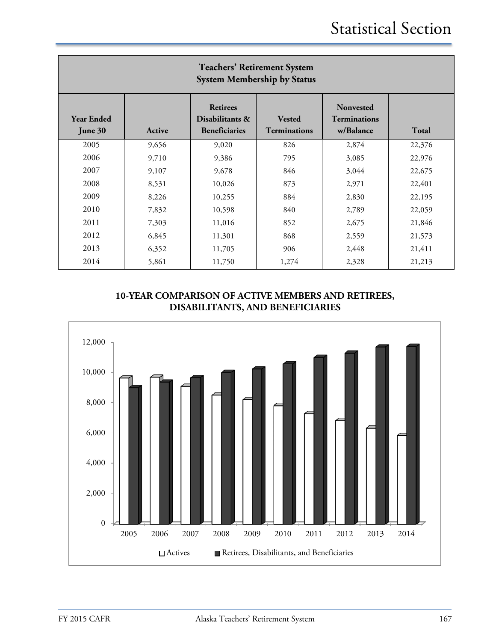| <b>Teachers' Retirement System</b><br><b>System Membership by Status</b> |        |                                                            |                                      |                                                      |        |  |  |
|--------------------------------------------------------------------------|--------|------------------------------------------------------------|--------------------------------------|------------------------------------------------------|--------|--|--|
| <b>Year Ended</b><br>June 30                                             | Active | <b>Retirees</b><br>Disabilitants &<br><b>Beneficiaries</b> | <b>Vested</b><br><b>Terminations</b> | <b>Nonvested</b><br><b>Terminations</b><br>w/Balance | Total  |  |  |
| 2005                                                                     | 9,656  | 9,020                                                      | 826                                  | 2,874                                                | 22,376 |  |  |
| 2006                                                                     | 9,710  | 9,386                                                      | 795                                  | 3,085                                                | 22,976 |  |  |
| 2007                                                                     | 9,107  | 9,678                                                      | 846                                  | 3,044                                                | 22,675 |  |  |
| 2008                                                                     | 8,531  | 10,026                                                     | 873                                  | 2,971                                                | 22,401 |  |  |
| 2009                                                                     | 8,226  | 10,255                                                     | 884                                  | 2,830                                                | 22,195 |  |  |
| 2010                                                                     | 7,832  | 10,598                                                     | 840                                  | 2,789                                                | 22,059 |  |  |
| 2011                                                                     | 7,303  | 11,016                                                     | 852                                  | 2,675                                                | 21,846 |  |  |
| 2012                                                                     | 6,845  | 11,301                                                     | 868                                  | 2,559                                                | 21,573 |  |  |
| 2013                                                                     | 6,352  | 11,705                                                     | 906                                  | 2,448                                                | 21,411 |  |  |
| 2014                                                                     | 5,861  | 11,750                                                     | 1,274                                | 2,328                                                | 21,213 |  |  |

## **10-YEAR COMPARISON OF ACTIVE MEMBERS AND RETIREES, DISABILITANTS, AND BENEFICIARIES**

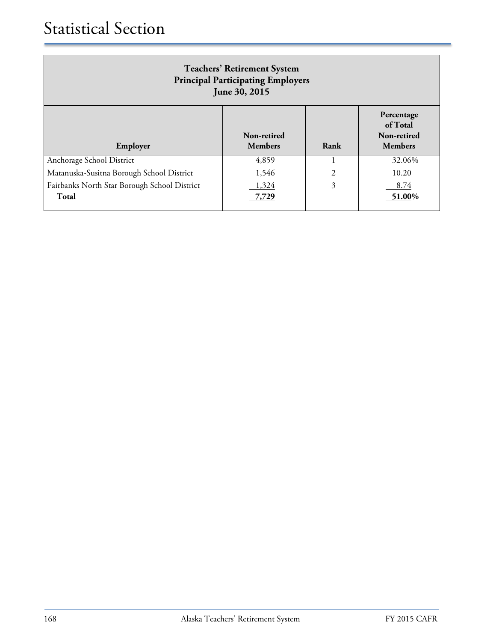| <b>Teachers' Retirement System</b><br><b>Principal Participating Employers</b><br>June 30, 2015 |                               |                |                                                         |
|-------------------------------------------------------------------------------------------------|-------------------------------|----------------|---------------------------------------------------------|
| Employer                                                                                        | Non-retired<br><b>Members</b> | Rank           | Percentage<br>of Total<br>Non-retired<br><b>Members</b> |
| Anchorage School District                                                                       | 4,859                         |                | 32.06%                                                  |
| Matanuska-Susitna Borough School District                                                       | 1,546                         | $\overline{2}$ | 10.20                                                   |
| Fairbanks North Star Borough School District<br>Total                                           | 1,324<br>',729                | 3              | 8.74<br>51.00%                                          |